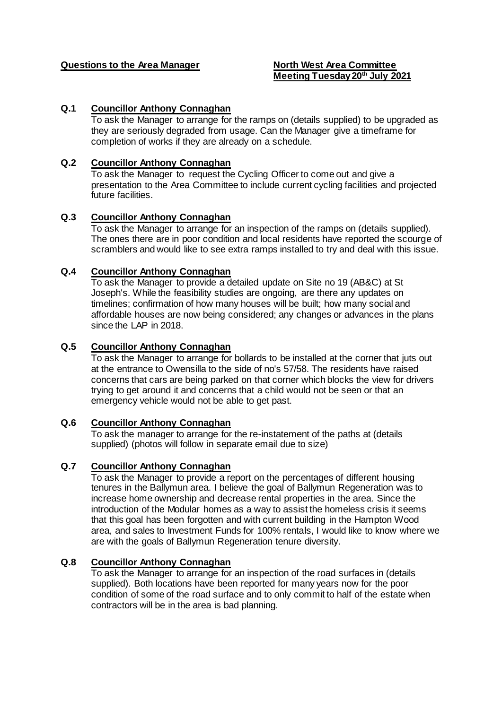# **Questions to the Area Manager North West Area Committee**

# **Meeting Tuesday 20th July 2021**

# **Q.1 Councillor Anthony Connaghan**

To ask the Manager to arrange for the ramps on (details supplied) to be upgraded as they are seriously degraded from usage. Can the Manager give a timeframe for completion of works if they are already on a schedule.

## **Q.2 Councillor Anthony Connaghan**

To ask the Manager to request the Cycling Officer to come out and give a presentation to the Area Committee to include current cycling facilities and projected future facilities.

# **Q.3 Councillor Anthony Connaghan**

To ask the Manager to arrange for an inspection of the ramps on (details supplied). The ones there are in poor condition and local residents have reported the scourge of scramblers and would like to see extra ramps installed to try and deal with this issue.

## **Q.4 Councillor Anthony Connaghan**

To ask the Manager to provide a detailed update on Site no 19 (AB&C) at St Joseph's. While the feasibility studies are ongoing, are there any updates on timelines; confirmation of how many houses will be built; how many social and affordable houses are now being considered; any changes or advances in the plans since the LAP in 2018.

## **Q.5 Councillor Anthony Connaghan**

To ask the Manager to arrange for bollards to be installed at the corner that juts out at the entrance to Owensilla to the side of no's 57/58. The residents have raised concerns that cars are being parked on that corner which blocks the view for drivers trying to get around it and concerns that a child would not be seen or that an emergency vehicle would not be able to get past.

#### **Q.6 Councillor Anthony Connaghan**

To ask the manager to arrange for the re-instatement of the paths at (details supplied) (photos will follow in separate email due to size)

## **Q.7 Councillor Anthony Connaghan**

To ask the Manager to provide a report on the percentages of different housing tenures in the Ballymun area. I believe the goal of Ballymun Regeneration was to increase home ownership and decrease rental properties in the area. Since the introduction of the Modular homes as a way to assist the homeless crisis it seems that this goal has been forgotten and with current building in the Hampton Wood area, and sales to Investment Funds for 100% rentals, I would like to know where we are with the goals of Ballymun Regeneration tenure diversity.

## **Q.8 Councillor Anthony Connaghan**

To ask the Manager to arrange for an inspection of the road surfaces in (details supplied). Both locations have been reported for many years now for the poor condition of some of the road surface and to only commit to half of the estate when contractors will be in the area is bad planning.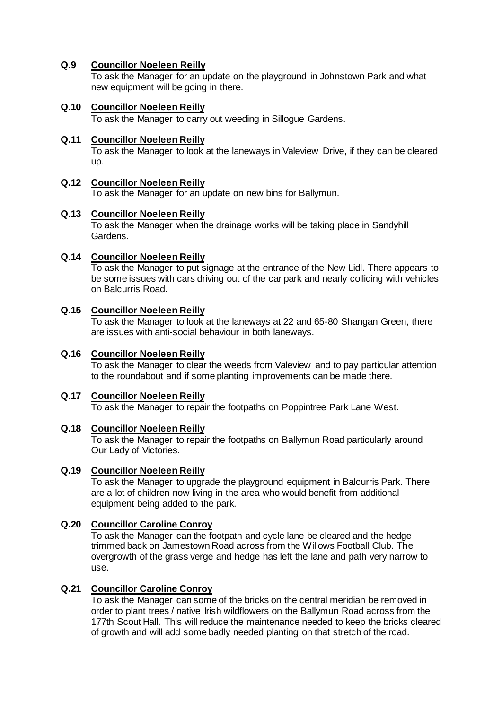# **Q.9 Councillor Noeleen Reilly**

To ask the Manager for an update on the playground in Johnstown Park and what new equipment will be going in there.

# **Q.10 Councillor Noeleen Reilly**

To ask the Manager to carry out weeding in Sillogue Gardens.

## **Q.11 Councillor Noeleen Reilly**

To ask the Manager to look at the laneways in Valeview Drive, if they can be cleared up.

## **Q.12 Councillor Noeleen Reilly**

To ask the Manager for an update on new bins for Ballymun.

## **Q.13 Councillor Noeleen Reilly**

To ask the Manager when the drainage works will be taking place in Sandyhill Gardens.

# **Q.14 Councillor Noeleen Reilly**

To ask the Manager to put signage at the entrance of the New Lidl. There appears to be some issues with cars driving out of the car park and nearly colliding with vehicles on Balcurris Road.

## **Q.15 Councillor Noeleen Reilly**

To ask the Manager to look at the laneways at 22 and 65-80 Shangan Green, there are issues with anti-social behaviour in both laneways.

## **Q.16 Councillor Noeleen Reilly**

To ask the Manager to clear the weeds from Valeview and to pay particular attention to the roundabout and if some planting improvements can be made there.

## **Q.17 Councillor Noeleen Reilly**

To ask the Manager to repair the footpaths on Poppintree Park Lane West.

## **Q.18 Councillor Noeleen Reilly**

To ask the Manager to repair the footpaths on Ballymun Road particularly around Our Lady of Victories.

## **Q.19 Councillor Noeleen Reilly**

To ask the Manager to upgrade the playground equipment in Balcurris Park. There are a lot of children now living in the area who would benefit from additional equipment being added to the park.

## **Q.20 Councillor Caroline Conroy**

To ask the Manager can the footpath and cycle lane be cleared and the hedge trimmed back on Jamestown Road across from the Willows Football Club. The overgrowth of the grass verge and hedge has left the lane and path very narrow to use.

## **Q.21 Councillor Caroline Conroy**

To ask the Manager can some of the bricks on the central meridian be removed in order to plant trees / native Irish wildflowers on the Ballymun Road across from the 177th Scout Hall. This will reduce the maintenance needed to keep the bricks cleared of growth and will add some badly needed planting on that stretch of the road.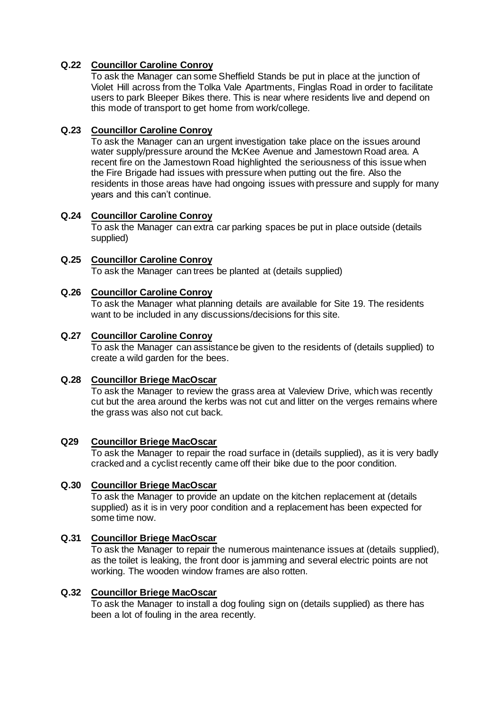# **Q.22 Councillor Caroline Conroy**

To ask the Manager can some Sheffield Stands be put in place at the junction of Violet Hill across from the Tolka Vale Apartments, Finglas Road in order to facilitate users to park Bleeper Bikes there. This is near where residents live and depend on this mode of transport to get home from work/college.

## **Q.23 Councillor Caroline Conroy**

To ask the Manager can an urgent investigation take place on the issues around water supply/pressure around the McKee Avenue and Jamestown Road area. A recent fire on the Jamestown Road highlighted the seriousness of this issue when the Fire Brigade had issues with pressure when putting out the fire. Also the residents in those areas have had ongoing issues with pressure and supply for many years and this can't continue.

# **Q.24 Councillor Caroline Conroy**

To ask the Manager can extra car parking spaces be put in place outside (details supplied)

**Q.25 Councillor Caroline Conroy** To ask the Manager can trees be planted at (details supplied)

# **Q.26 Councillor Caroline Conroy**

To ask the Manager what planning details are available for Site 19. The residents want to be included in any discussions/decisions for this site.

# **Q.27 Councillor Caroline Conroy**

To ask the Manager can assistance be given to the residents of (details supplied) to create a wild garden for the bees.

## **Q.28 Councillor Briege MacOscar**

To ask the Manager to review the grass area at Valeview Drive, which was recently cut but the area around the kerbs was not cut and litter on the verges remains where the grass was also not cut back.

## **Q29 Councillor Briege MacOscar**

To ask the Manager to repair the road surface in (details supplied), as it is very badly cracked and a cyclist recently came off their bike due to the poor condition.

## **Q.30 Councillor Briege MacOscar**

To ask the Manager to provide an update on the kitchen replacement at (details supplied) as it is in very poor condition and a replacement has been expected for some time now.

# **Q.31 Councillor Briege MacOscar**

To ask the Manager to repair the numerous maintenance issues at (details supplied), as the toilet is leaking, the front door is jamming and several electric points are not working. The wooden window frames are also rotten.

# **Q.32 Councillor Briege MacOscar**

To ask the Manager to install a dog fouling sign on (details supplied) as there has been a lot of fouling in the area recently.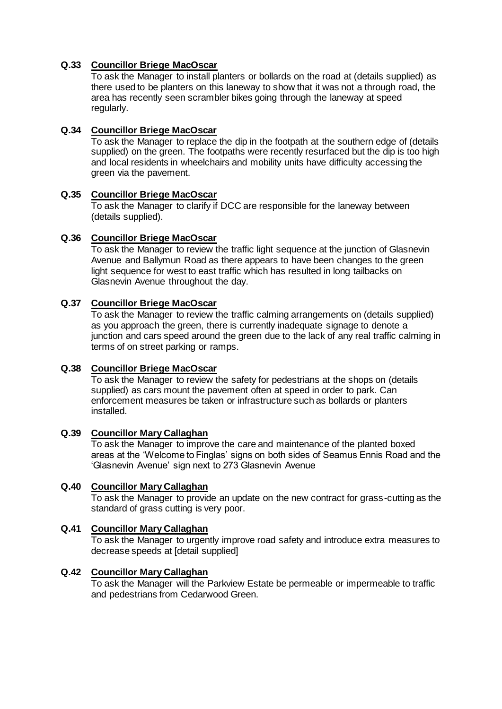# **Q.33 Councillor Briege MacOscar**

To ask the Manager to install planters or bollards on the road at (details supplied) as there used to be planters on this laneway to show that it was not a through road, the area has recently seen scrambler bikes going through the laneway at speed regularly.

## **Q.34 Councillor Briege MacOscar**

To ask the Manager to replace the dip in the footpath at the southern edge of (details supplied) on the green. The footpaths were recently resurfaced but the dip is too high and local residents in wheelchairs and mobility units have difficulty accessing the green via the pavement.

## **Q.35 Councillor Briege MacOscar**

To ask the Manager to clarify if DCC are responsible for the laneway between (details supplied).

## **Q.36 Councillor Briege MacOscar**

To ask the Manager to review the traffic light sequence at the junction of Glasnevin Avenue and Ballymun Road as there appears to have been changes to the green light sequence for west to east traffic which has resulted in long tailbacks on Glasnevin Avenue throughout the day.

# **Q.37 Councillor Briege MacOscar**

To ask the Manager to review the traffic calming arrangements on (details supplied) as you approach the green, there is currently inadequate signage to denote a junction and cars speed around the green due to the lack of any real traffic calming in terms of on street parking or ramps.

## **Q.38 Councillor Briege MacOscar**

To ask the Manager to review the safety for pedestrians at the shops on (details supplied) as cars mount the pavement often at speed in order to park. Can enforcement measures be taken or infrastructure such as bollards or planters installed.

## **Q.39 Councillor Mary Callaghan**

To ask the Manager to improve the care and maintenance of the planted boxed areas at the 'Welcome to Finglas' signs on both sides of Seamus Ennis Road and the 'Glasnevin Avenue' sign next to 273 Glasnevin Avenue

## **Q.40 Councillor Mary Callaghan**

To ask the Manager to provide an update on the new contract for grass-cutting as the standard of grass cutting is very poor.

## **Q.41 Councillor Mary Callaghan**

To ask the Manager to urgently improve road safety and introduce extra measures to decrease speeds at [detail supplied]

## **Q.42 Councillor Mary Callaghan**

To ask the Manager will the Parkview Estate be permeable or impermeable to traffic and pedestrians from Cedarwood Green.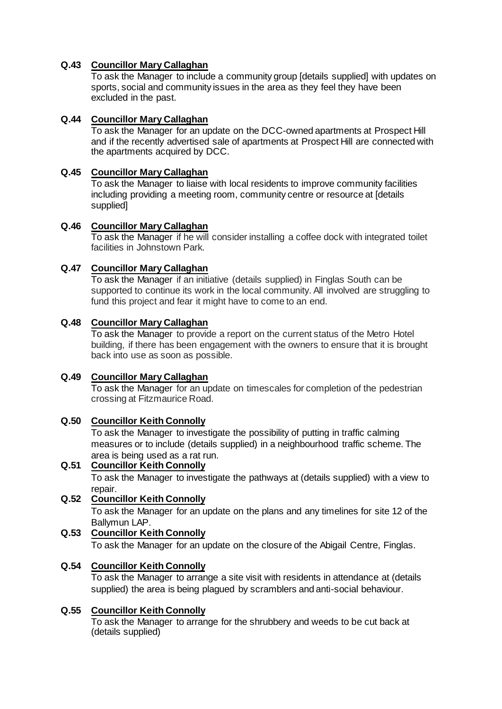# **Q.43 Councillor Mary Callaghan**

To ask the Manager to include a community group [details supplied] with updates on sports, social and community issues in the area as they feel they have been excluded in the past.

## **Q.44 Councillor Mary Callaghan**

To ask the Manager for an update on the DCC-owned apartments at Prospect Hill and if the recently advertised sale of apartments at Prospect Hill are connected with the apartments acquired by DCC.

## **Q.45 Councillor Mary Callaghan**

To ask the Manager to liaise with local residents to improve community facilities including providing a meeting room, community centre or resource at [details supplied]

## **Q.46 Councillor Mary Callaghan**

To ask the Manager if he will consider installing a coffee dock with integrated toilet facilities in Johnstown Park.

# **Q.47 Councillor Mary Callaghan**

To ask the Manager if an initiative (details supplied) in Finglas South can be supported to continue its work in the local community. All involved are struggling to fund this project and fear it might have to come to an end.

## **Q.48 Councillor Mary Callaghan**

To ask the Manager to provide a report on the current status of the Metro Hotel building, if there has been engagement with the owners to ensure that it is brought back into use as soon as possible.

## **Q.49 Councillor Mary Callaghan**

To ask the Manager for an update on timescales for completion of the pedestrian crossing at Fitzmaurice Road.

## **Q.50 Councillor Keith Connolly**

To ask the Manager to investigate the possibility of putting in traffic calming measures or to include (details supplied) in a neighbourhood traffic scheme. The area is being used as a rat run.

## **Q.51 Councillor Keith Connolly** To ask the Manager to investigate the pathways at (details supplied) with a view to repair. **Q.52 Councillor Keith Connolly**

# To ask the Manager for an update on the plans and any timelines for site 12 of the Ballymun LAP.

**Q.53 Councillor Keith Connolly** To ask the Manager for an update on the closure of the Abigail Centre, Finglas.

# **Q.54 Councillor Keith Connolly**

To ask the Manager to arrange a site visit with residents in attendance at (details supplied) the area is being plagued by scramblers and anti-social behaviour.

# **Q.55 Councillor Keith Connolly**

To ask the Manager to arrange for the shrubbery and weeds to be cut back at (details supplied)